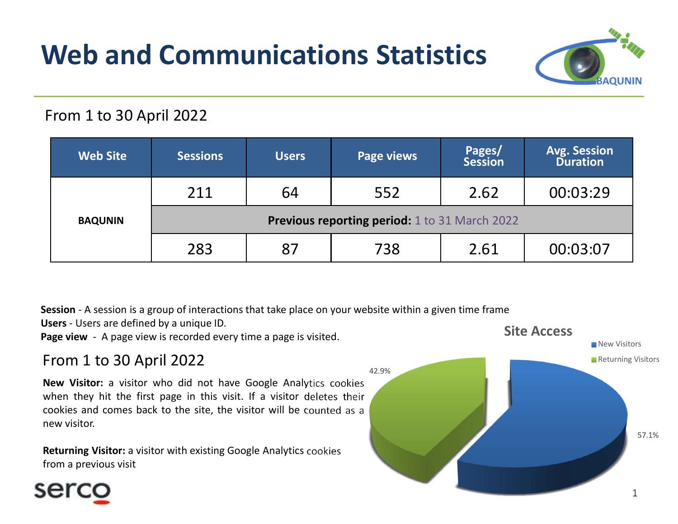# Web and Communications Statistics



### From 1 to 30 April 2022

|                 | From 1 to 30 April 2022 |                                               |                   |                          |                                        |  |
|-----------------|-------------------------|-----------------------------------------------|-------------------|--------------------------|----------------------------------------|--|
| <b>Web Site</b> | <b>Sessions</b>         | <b>Users</b>                                  | <b>Page views</b> | Pages/<br><b>Session</b> | <b>Avg. Session</b><br><b>Duration</b> |  |
|                 | 211                     | 64                                            | 552               | 2.62                     | 00:03:29                               |  |
| <b>BAQUNIN</b>  |                         | Previous reporting period: 1 to 31 March 2022 |                   |                          |                                        |  |
|                 | 283                     | 87                                            | 738               | 2.61                     | 00:03:07                               |  |

## From 1 to 30 April 2022

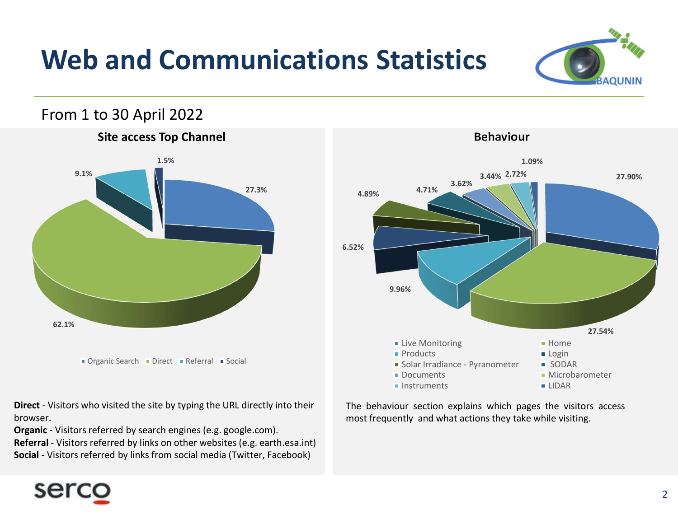# Web and Communications Statistics



### From 1 to 30 April 2022



Organic Search Direct Referral Social



browser.